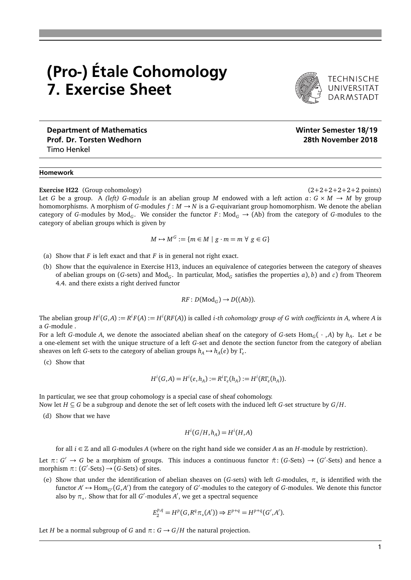## (Pro-) Étale Cohomology 7. Exercise Sheet



DARMSTADT

Department of Mathematics Number of Mathematics Number of Mathematics Number of Mathematics Number of Mathematics Prof. Dr. Torsten Wedhorn 2018 (2018) 28th November 2018 Timo Henkel

## Homework

**Exercise H22** (Group cohomology) (2+2+2+2+2+2 points)

Let *G* be a group. A *(left) G*-module is an abelian group *M* endowed with a left action  $a: G \times M \rightarrow M$  by group homomorphisms. A morphism of *G*-modules  $f : M \to N$  is a *G*-equivariant group homomorphism. We denote the abelian category of *G*-modules by Mod<sub>*G*</sub>. We consider the functor *F* : Mod<sub>*G*</sub>  $\rightarrow$  (Ab) from the category of *G*-modules to the category of abelian groups which is given by

$$
M \mapsto M^G := \{ m \in M \mid g \cdot m = m \,\,\forall \,\, g \in G \}
$$

- (a) Show that  $F$  is left exact and that  $F$  is in general not right exact.
- (b) Show that the equivalence in Exercise H13, induces an equivalence of categories between the category of sheaves of abelian groups on (*G*-sets) and Mod<sub>*G*</sub>. In particular, Mod<sub>*G*</sub> satisfies the properties *a*), *b*) and *c*) from Theorem 4.4. and there exists a right derived functor

$$
RF: D(\mathrm{Mod}_G) \to D((\mathrm{Ab})).
$$

The abelian group  $H^i(G,A):=R^iF(A):=H^i(RF(A))$  is called *i-th cohomology group of G with coefficients in A, wh*ere A is a *G*-module .

For a left *G*-module *A*, we denote the associated abelian sheaf on the category of *G*-sets  $Hom_G(\cdot$  , *A*) by  $h_A$ . Let *e* be a one-element set with the unique structure of a left *G*-set and denote the section functor from the category of abelian sheaves on left *G*-sets to the category of abelian groups  $h_A \mapsto h_A(e)$  by  $\Gamma_e$ .

(c) Show that

$$
H^{i}(G, A) = H^{i}(e, h_{A}) := R^{i} \Gamma_{e}(h_{A}) := H^{i}(R \Gamma_{e}(h_{A})).
$$

In particular, we see that group cohomology is a special case of sheaf cohomology. Now let *H* ⊆ *G* be a subgroup and denote the set of left cosets with the induced left *G*-set structure by *G/H*.

(d) Show that we have

$$
H^i(G/H, h_A) = H^i(H, A)
$$

for all *i* ∈ Z and all *G*-modules *A* (where on the right hand side we consider *A* as an *H*-module by restriction).

Let  $\pi: G' \to G$  be a morphism of groups. This induces a continuous functor  $\tilde{\pi}: (G\text{-Sets}) \to (G'\text{-Sets})$  and hence a morphism  $\pi$ : (*G*'-Sets)  $\rightarrow$  (*G*-Sets) of sites.

(e) Show that under the identification of abelian sheaves on (*G*-sets) with left *G*-modules,  $\pi_*$  is identified with the functor  $A' \mapsto \text{Hom}_{G'}(G, A')$  from the category of  $G'$ -modules to the category of  $G$ -modules. We denote this functor also by π<sub>∗</sub>. Show that for all *G*'-modules *A'*, we get a spectral sequence

$$
E_2^{p,q} = H^p(G, R^q \pi_*(A')) \Rightarrow E^{p+q} = H^{p+q}(G', A').
$$

Let *H* be a normal subgroup of *G* and  $\pi$ :  $G \rightarrow G/H$  the natural projection.